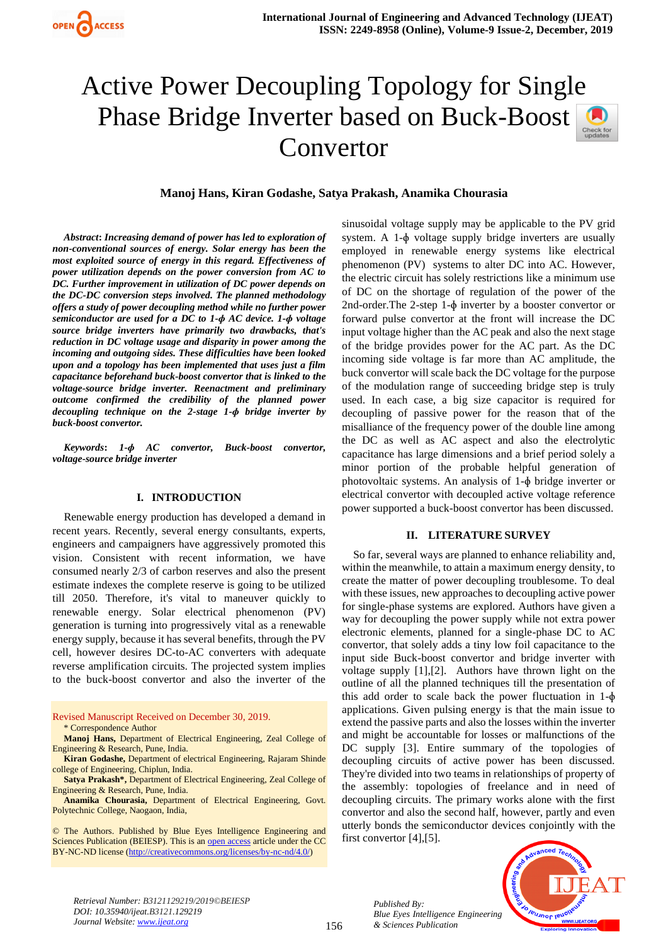# Active Power Decoupling Topology for Single Phase Bridge Inverter based on Buck-Boost Convertor



# **Manoj Hans, Kiran Godashe, Satya Prakash, Anamika Chourasia**

*Abstract***:** *Increasing demand of power has led to exploration of non-conventional sources of energy. Solar energy has been the most exploited source of energy in this regard. Effectiveness of power utilization depends on the power conversion from AC to DC. Further improvement in utilization of DC power depends on the DC-DC conversion steps involved. The planned methodology offers a study of power decoupling method while no further power semiconductor are used for a DC to 1-ɸ AC device. 1-ɸ voltage source bridge inverters have primarily two drawbacks, that's reduction in DC voltage usage and disparity in power among the incoming and outgoing sides. These difficulties have been looked upon and a topology has been implemented that uses just a film capacitance beforehand buck-boost convertor that is linked to the voltage-source bridge inverter. Reenactment and preliminary outcome confirmed the credibility of the planned power decoupling technique on the 2-stage 1-ɸ bridge inverter by buck-boost convertor.*

*Keywords***:** *1-ɸ AC convertor, Buck-boost convertor, voltage-source bridge inverter*

## **I. INTRODUCTION**

Renewable energy production has developed a demand in recent years. Recently, several energy consultants, experts, engineers and campaigners have aggressively promoted this vision. Consistent with recent information, we have consumed nearly 2/3 of carbon reserves and also the present estimate indexes the complete reserve is going to be utilized till 2050. Therefore, it's vital to maneuver quickly to renewable energy. Solar electrical phenomenon (PV) generation is turning into progressively vital as a renewable energy supply, because it has several benefits, through the PV cell, however desires DC-to-AC converters with adequate reverse amplification circuits. The projected system implies to the buck-boost convertor and also the inverter of the

Revised Manuscript Received on December 30, 2019. \* Correspondence Author

**Manoj Hans,** Department of Electrical Engineering, Zeal College of Engineering & Research, Pune, India.

**Kiran Godashe,** Department of electrical Engineering, Rajaram Shinde college of Engineering, Chiplun, India.

**Satya Prakash\*,** Department of Electrical Engineering, Zeal College of Engineering & Research, Pune, India.

**Anamika Chourasia,** Department of Electrical Engineering, Govt. Polytechnic College, Naogaon, India,

© The Authors. Published by Blue Eyes Intelligence Engineering and Sciences Publication (BEIESP). This is a[n open access](https://www.openaccess.nl/en/open-publications) article under the CC BY-NC-ND license [\(http://creativecommons.org/licenses/by-nc-nd/4.0/\)](http://creativecommons.org/licenses/by-nc-nd/4.0/)

sinusoidal voltage supply may be applicable to the PV grid system. A 1-ɸ voltage supply bridge inverters are usually employed in renewable energy systems like electrical phenomenon (PV) systems to alter DC into AC. However, the electric circuit has solely restrictions like a minimum use of DC on the shortage of regulation of the power of the 2nd-order.The 2-step 1-ɸ inverter by a booster convertor or forward pulse convertor at the front will increase the DC input voltage higher than the AC peak and also the next stage of the bridge provides power for the AC part. As the DC incoming side voltage is far more than AC amplitude, the buck convertor will scale back the DC voltage for the purpose of the modulation range of succeeding bridge step is truly used. In each case, a big size capacitor is required for decoupling of passive power for the reason that of the misalliance of the frequency power of the double line among the DC as well as AC aspect and also the electrolytic capacitance has large dimensions and a brief period solely a minor portion of the probable helpful generation of photovoltaic systems. An analysis of 1-ɸ bridge inverter or electrical convertor with decoupled active voltage reference power supported a buck-boost convertor has been discussed.

#### **II. LITERATURE SURVEY**

So far, several ways are planned to enhance reliability and, within the meanwhile, to attain a maximum energy density, to create the matter of power decoupling troublesome. To deal with these issues, new approaches to decoupling active power for single-phase systems are explored. Authors have given a way for decoupling the power supply while not extra power electronic elements, planned for a single-phase DC to AC convertor, that solely adds a tiny low foil capacitance to the input side Buck-boost convertor and bridge inverter with voltage supply [1],[2]. Authors have thrown light on the outline of all the planned techniques till the presentation of this add order to scale back the power fluctuation in  $1-\phi$ applications. Given pulsing energy is that the main issue to extend the passive parts and also the losses within the inverter and might be accountable for losses or malfunctions of the DC supply [3]. Entire summary of the topologies of decoupling circuits of active power has been discussed. They're divided into two teams in relationships of property of the assembly: topologies of freelance and in need of decoupling circuits. The primary works alone with the first convertor and also the second half, however, partly and even utterly bonds the semiconductor devices conjointly with the first convertor [4],[5].



*Retrieval Number: B3121129219/2019©BEIESP DOI: 10.35940/ijeat.B3121.129219 Journal Website[: www.ijeat.org](http://www.ijeat.org/)*

*Published By: Blue Eyes Intelligence Engineering & Sciences Publication*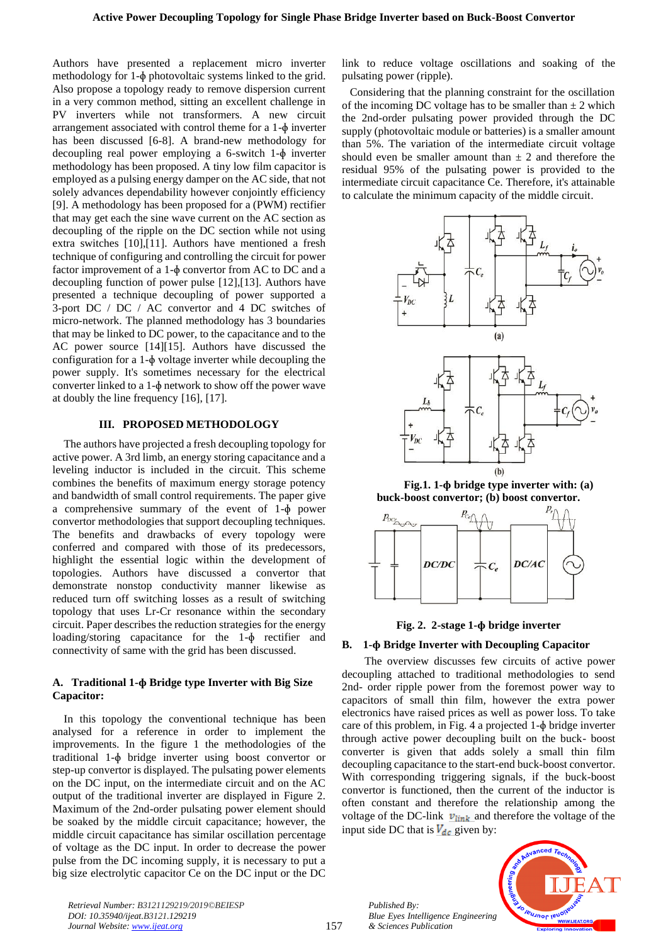Authors have presented a replacement micro inverter methodology for 1-ɸ photovoltaic systems linked to the grid. Also propose a topology ready to remove dispersion current in a very common method, sitting an excellent challenge in PV inverters while not transformers. A new circuit arrangement associated with control theme for a 1-ɸ inverter has been discussed [6-8]. A brand-new methodology for decoupling real power employing a 6-switch 1-ɸ inverter methodology has been proposed. A tiny low film capacitor is employed as a pulsing energy damper on the AC side, that not solely advances dependability however conjointly efficiency [9]. A methodology has been proposed for a (PWM) rectifier that may get each the sine wave current on the AC section as decoupling of the ripple on the DC section while not using extra switches [10],[11]. Authors have mentioned a fresh technique of configuring and controlling the circuit for power factor improvement of a 1-ɸ convertor from AC to DC and a decoupling function of power pulse [12],[13]. Authors have presented a technique decoupling of power supported a 3-port DC / DC / AC convertor and 4 DC switches of micro-network. The planned methodology has 3 boundaries that may be linked to DC power, to the capacitance and to the AC power source [14][15]. Authors have discussed the configuration for a 1-ɸ voltage inverter while decoupling the power supply. It's sometimes necessary for the electrical converter linked to a 1-ɸ network to show off the power wave at doubly the line frequency [16], [17].

## **III. PROPOSED METHODOLOGY**

The authors have projected a fresh decoupling topology for active power. A 3rd limb, an energy storing capacitance and a leveling inductor is included in the circuit. This scheme combines the benefits of maximum energy storage potency and bandwidth of small control requirements. The paper give a comprehensive summary of the event of 1-ɸ power convertor methodologies that support decoupling techniques. The benefits and drawbacks of every topology were conferred and compared with those of its predecessors, highlight the essential logic within the development of topologies. Authors have discussed a convertor that demonstrate nonstop conductivity manner likewise as reduced turn off switching losses as a result of switching topology that uses Lr-Cr resonance within the secondary circuit. Paper describes the reduction strategies for the energy loading/storing capacitance for the 1-ɸ rectifier and connectivity of same with the grid has been discussed.

# **A. Traditional 1-ɸ Bridge type Inverter with Big Size Capacitor:**

In this topology the conventional technique has been analysed for a reference in order to implement the improvements. In the figure 1 the methodologies of the traditional 1-ɸ bridge inverter using boost convertor or step-up convertor is displayed. The pulsating power elements on the DC input, on the intermediate circuit and on the AC output of the traditional inverter are displayed in Figure 2. Maximum of the 2nd-order pulsating power element should be soaked by the middle circuit capacitance; however, the middle circuit capacitance has similar oscillation percentage of voltage as the DC input. In order to decrease the power pulse from the DC incoming supply, it is necessary to put a big size electrolytic capacitor Ce on the DC input or the DC

link to reduce voltage oscillations and soaking of the pulsating power (ripple).

Considering that the planning constraint for the oscillation of the incoming DC voltage has to be smaller than  $\pm 2$  which the 2nd-order pulsating power provided through the DC supply (photovoltaic module or batteries) is a smaller amount than 5%. The variation of the intermediate circuit voltage should even be smaller amount than  $\pm$  2 and therefore the residual 95% of the pulsating power is provided to the intermediate circuit capacitance Ce. Therefore, it's attainable to calculate the minimum capacity of the middle circuit.



**Fig.1. 1-ɸ bridge type inverter with: (a) buck-boost convertor; (b) boost convertor.**





#### **B. 1-ɸ Bridge Inverter with Decoupling Capacitor**

The overview discusses few circuits of active power decoupling attached to traditional methodologies to send 2nd- order ripple power from the foremost power way to capacitors of small thin film, however the extra power electronics have raised prices as well as power loss. To take care of this problem, in Fig. 4 a projected 1-ɸ bridge inverter through active power decoupling built on the buck- boost converter is given that adds solely a small thin film decoupling capacitance to the start-end buck-boost convertor. With corresponding triggering signals, if the buck-boost convertor is functioned, then the current of the inductor is often constant and therefore the relationship among the voltage of the DC-link  $v_{\text{link}}$  and therefore the voltage of the input side DC that is  $V_{dc}$  given by:





*Retrieval Number: B3121129219/2019©BEIESP DOI: 10.35940/ijeat.B3121.129219 Journal Website[: www.ijeat.org](http://www.ijeat.org/)*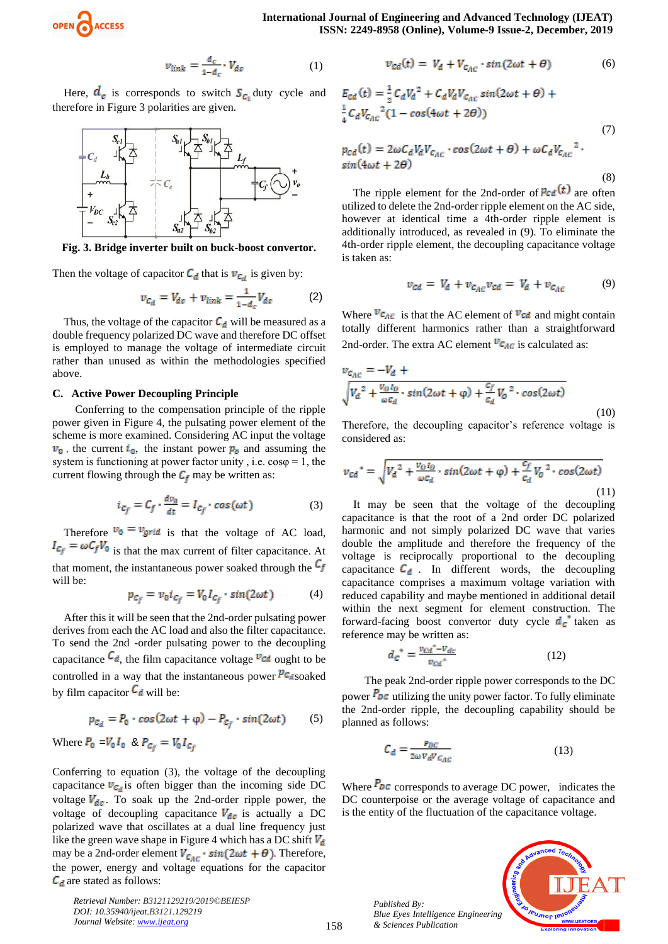

$$
v_{\text{link}} = \frac{d_c}{1 - d_c} \cdot V_{dc} \tag{1}
$$

Here,  $d_e$  is corresponds to switch  $S_{c_1}$  duty cycle and therefore in Figure 3 polarities are given.



**Fig. 3. Bridge inverter built on buck-boost convertor.**

Then the voltage of capacitor  $C_d$  that is  $v_{c_d}$  is given by:

$$
v_{c_d} = V_{dc} + v_{link} = \frac{1}{1 - d_c} V_{dc} \tag{2}
$$

Thus, the voltage of the capacitor  $C_d$  will be measured as a double frequency polarized DC wave and therefore DC offset is employed to manage the voltage of intermediate circuit rather than unused as within the methodologies specified above.

#### **C. Active Power Decoupling Principle**

Conferring to the compensation principle of the ripple power given in Figure 4, the pulsating power element of the scheme is more examined. Considering AC input the voltage  $v_0$ , the current  $i_0$ , the instant power  $p_0$  and assuming the system is functioning at power factor unity, i.e.  $cos\varphi = 1$ , the current flowing through the  $C_f$  may be written as:

$$
i_{C_f} = C_f \cdot \frac{dv_0}{dt} = I_{C_f} \cdot \cos(\omega t) \tag{3}
$$

Therefore  $v_0 = v_{grid}$  is that the voltage of AC load,  $I_{c_f} = \omega C_f V_0$  is that the max current of filter capacitance. At that moment, the instantaneous power soaked through the  $C_f$ will be:

$$
p_{c_f} = v_0 i_{c_f} = V_0 I_{c_f} \cdot \sin(2\omega t) \tag{4}
$$

After this it will be seen that the 2nd-order pulsating power derives from each the AC load and also the filter capacitance. To send the 2nd -order pulsating power to the decoupling capacitance  $\mathcal{C}_{d}$ , the film capacitance voltage  $v_{cd}$  ought to be controlled in a way that the instantaneous power  $P_{\text{C}_{d}}$  soaked by film capacitor  $C_d$  will be:

$$
p_{c_d} = P_0 \cdot \cos(2\omega t + \varphi) - P_{c_f} \cdot \sin(2\omega t) \tag{5}
$$

Where 
$$
P_0 = V_0 I_0
$$
 &  $P_{c_f} = V_0 I_{c_f}$ 

Conferring to equation (3), the voltage of the decoupling capacitance  $v_{C_d}$  is often bigger than the incoming side DC voltage  $V_{dc}$ . To soak up the 2nd-order ripple power, the voltage of decoupling capacitance  $V_{dc}$  is actually a DC polarized wave that oscillates at a dual line frequency just like the green wave shape in Figure 4 which has a DC shift  $V_d$ may be a 2nd-order element  $V_{C_{AC}} \cdot \sin(2\omega t + \theta)$ . Therefore, the power, energy and voltage equations for the capacitor  $C_d$  are stated as follows:

*Retrieval Number: B3121129219/2019©BEIESP DOI: 10.35940/ijeat.B3121.129219 Journal Website[: www.ijeat.org](http://www.ijeat.org/)*

$$
v_{cd}(t) = V_d + V_{c_{AC}} \cdot \sin(2\omega t + \theta) \tag{6}
$$

$$
E_{cd}(t) = \frac{1}{2} C_d V_d^2 + C_d V_d V_{c_{AC}} sin(2\omega t + \theta) +
$$
  
\n
$$
\frac{1}{4} C_d V_{c_{AC}}^2 (1 - cos(4\omega t + 2\theta))
$$
  
\n
$$
p_{cd}(t) = 2\omega C_d V_d V_{c_{AC}} \cdot cos(2\omega t + \theta) + \omega C_d V_{c_{AC}}^2.
$$
  
\n
$$
sin(4\omega t + 2\theta)
$$
 (7)

(8)

The ripple element for the 2nd-order of  $P_{\text{Cd}}(t)$  are often utilized to delete the 2nd-order ripple element on the AC side, however at identical time a 4th-order ripple element is additionally introduced, as revealed in (9). To eliminate the 4th-order ripple element, the decoupling capacitance voltage is taken as:

$$
v_{cd} = V_d + v_{c_{AC}} v_{cd} = V_d + v_{c_{AC}} \tag{9}
$$

Where  $v_{\text{C}_{AC}}$  is that the AC element of  $v_{\text{C}_{AC}}$  and might contain totally different harmonics rather than a straightforward 2nd-order. The extra AC element  $v_{c_{AC}}$  is calculated as:

$$
v_{c_{AC}} = -V_d + \sqrt{V_d^2 + \frac{v_{O I_O}}{\omega c_d} \cdot \sin(2\omega t + \varphi) + \frac{c_f}{c_d} V_0^2 \cdot \cos(2\omega t)}
$$
(10)

Therefore, the decoupling capacitor's reference voltage is considered as:

$$
v_{cd}^* = \sqrt{V_d^2 + \frac{v_0 I_0}{\omega c_d} \cdot \sin(2\omega t + \varphi) + \frac{c_f}{c_d} V_0^2 \cdot \cos(2\omega t)}
$$
\n(11)

It may be seen that the voltage of the decoupling capacitance is that the root of a 2nd order DC polarized harmonic and not simply polarized DC wave that varies double the amplitude and therefore the frequency of the voltage is reciprocally proportional to the decoupling capacitance  $C_d$ . In different words, the decoupling capacitance comprises a maximum voltage variation with reduced capability and maybe mentioned in additional detail within the next segment for element construction. The forward-facing boost convertor duty cycle  $d_c$  taken as reference may be written as:

$$
d_{\mathcal{C}}^* = \frac{v_{\mathcal{C}d}^* - v_{\mathcal{C}d}}{v_{\mathcal{C}d}^*} \tag{12}
$$

The peak 2nd-order ripple power corresponds to the DC power  $P_{DC}$  utilizing the unity power factor. To fully eliminate the 2nd-order ripple, the decoupling capability should be planned as follows:

$$
C_d = \frac{P_{DC}}{2\omega V_d V_{C_{AC}}}
$$
\n(13)

Where  $P_{DC}$  corresponds to average DC power, indicates the DC counterpoise or the average voltage of capacitance and is the entity of the fluctuation of the capacitance voltage.

> *Published By: Blue Eyes Intelligence Engineering & Sciences Publication*

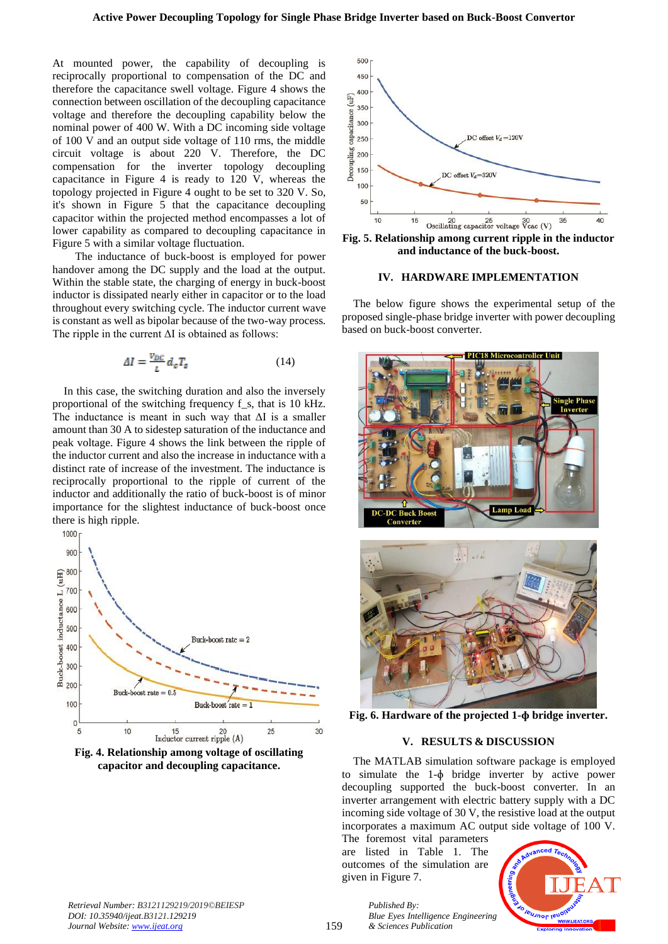At mounted power, the capability of decoupling is reciprocally proportional to compensation of the DC and therefore the capacitance swell voltage. Figure 4 shows the connection between oscillation of the decoupling capacitance voltage and therefore the decoupling capability below the nominal power of 400 W. With a DC incoming side voltage of 100 V and an output side voltage of 110 rms, the middle circuit voltage is about 220 V. Therefore, the DC compensation for the inverter topology decoupling capacitance in Figure 4 is ready to 120 V, whereas the topology projected in Figure 4 ought to be set to 320 V. So, it's shown in Figure 5 that the capacitance decoupling capacitor within the projected method encompasses a lot of lower capability as compared to decoupling capacitance in Figure 5 with a similar voltage fluctuation.

The inductance of buck-boost is employed for power handover among the DC supply and the load at the output. Within the stable state, the charging of energy in buck-boost inductor is dissipated nearly either in capacitor or to the load throughout every switching cycle. The inductor current wave is constant as well as bipolar because of the two-way process. The ripple in the current  $\Delta I$  is obtained as follows:

$$
\Delta I = \frac{v_{DC}}{I} d_c T_s \tag{14}
$$

In this case, the switching duration and also the inversely proportional of the switching frequency f\_s, that is 10 kHz. The inductance is meant in such way that  $\Delta I$  is a smaller amount than 30 A to sidestep saturation of the inductance and peak voltage. Figure 4 shows the link between the ripple of the inductor current and also the increase in inductance with a distinct rate of increase of the investment. The inductance is reciprocally proportional to the ripple of current of the inductor and additionally the ratio of buck-boost is of minor importance for the slightest inductance of buck-boost once there is high ripple.



**capacitor and decoupling capacitance.**



**Fig. 5. Relationship among current ripple in the inductor and inductance of the buck-boost.**

#### **IV. HARDWARE IMPLEMENTATION**

The below figure shows the experimental setup of the proposed single-phase bridge inverter with power decoupling based on buck-boost converter.





**Fig. 6. Hardware of the projected 1-ɸ bridge inverter.**

#### **V. RESULTS & DISCUSSION**

The MATLAB simulation software package is employed to simulate the 1-ɸ bridge inverter by active power decoupling supported the buck-boost converter. In an inverter arrangement with electric battery supply with a DC incoming side voltage of 30 V, the resistive load at the output incorporates a maximum AC output side voltage of 100 V.

The foremost vital parameters are listed in Table 1. The outcomes of the simulation are given in Figure 7.

*& Sciences Publication* 

*Published By:*



*Retrieval Number: B3121129219/2019©BEIESP DOI: 10.35940/ijeat.B3121.129219 Journal Website[: www.ijeat.org](http://www.ijeat.org/)*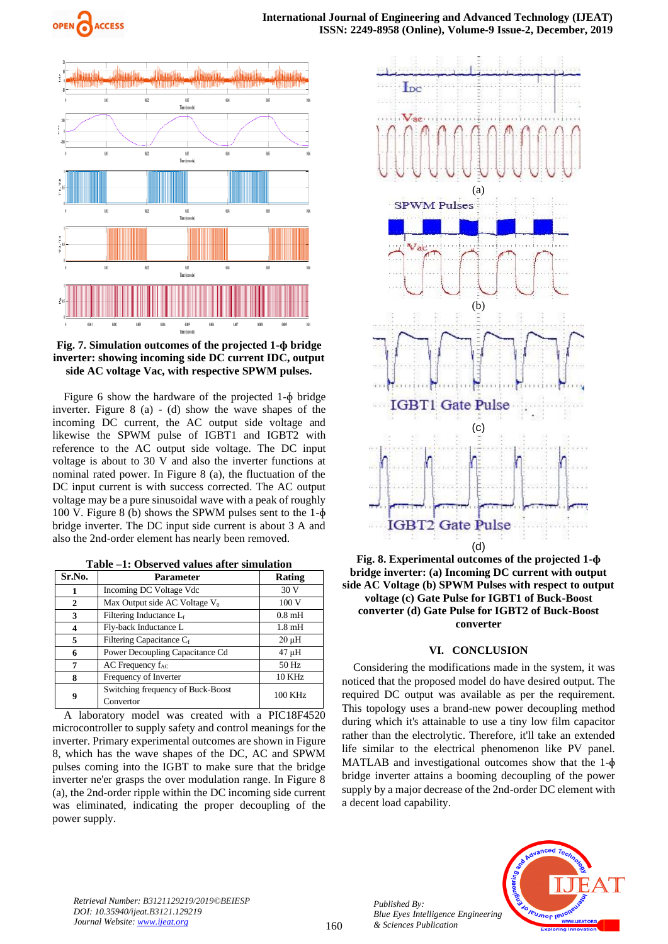



## **Fig. 7. Simulation outcomes of the projected 1-ɸ bridge inverter: showing incoming side DC current IDC, output side AC voltage Vac, with respective SPWM pulses.**

Figure 6 show the hardware of the projected 1-ɸ bridge inverter. Figure 8 (a) - (d) show the wave shapes of the incoming DC current, the AC output side voltage and likewise the SPWM pulse of IGBT1 and IGBT2 with reference to the AC output side voltage. The DC input voltage is about to 30 V and also the inverter functions at nominal rated power. In Figure 8 (a), the fluctuation of the DC input current is with success corrected. The AC output voltage may be a pure sinusoidal wave with a peak of roughly 100 V. Figure 8 (b) shows the SPWM pulses sent to the 1-ɸ bridge inverter. The DC input side current is about 3 A and also the 2nd-order element has nearly been removed.

|  | Table -1: Observed values after simulation |
|--|--------------------------------------------|
|--|--------------------------------------------|

| Sr.No. | <b>Parameter</b>                               | <b>Rating</b> |
|--------|------------------------------------------------|---------------|
|        | Incoming DC Voltage Vdc                        | 30 V          |
| 2      | Max Output side AC Voltage $V_0$               | 100V          |
| 3      | Filtering Inductance Lf                        | $0.8$ mH      |
| 4      | Fly-back Inductance L                          | $1.8$ mH      |
| 5      | Filtering Capacitance Cf                       | $20 \mu H$    |
| 6      | Power Decoupling Capacitance Cd                | 47 µH         |
|        | AC Frequency $f_{AC}$                          | 50 Hz         |
| 8      | Frequency of Inverter                          | <b>10 KHz</b> |
| 9      | Switching frequency of Buck-Boost<br>Convertor | 100 KHz       |

A laboratory model was created with a PIC18F4520 microcontroller to supply safety and control meanings for the inverter. Primary experimental outcomes are shown in Figure 8, which has the wave shapes of the DC, AC and SPWM pulses coming into the IGBT to make sure that the bridge inverter ne'er grasps the over modulation range. In Figure 8 (a), the 2nd-order ripple within the DC incoming side current was eliminated, indicating the proper decoupling of the power supply.



**Fig. 8. Experimental outcomes of the projected 1-ɸ bridge inverter: (a) Incoming DC current with output side AC Voltage (b) SPWM Pulses with respect to output voltage (c) Gate Pulse for IGBT1 of Buck-Boost converter (d) Gate Pulse for IGBT2 of Buck-Boost converter**

#### **VI. CONCLUSION**

Considering the modifications made in the system, it was noticed that the proposed model do have desired output. The required DC output was available as per the requirement. This topology uses a brand-new power decoupling method during which it's attainable to use a tiny low film capacitor rather than the electrolytic. Therefore, it'll take an extended life similar to the electrical phenomenon like PV panel. MATLAB and investigational outcomes show that the 1- $\phi$ bridge inverter attains a booming decoupling of the power supply by a major decrease of the 2nd-order DC element with a decent load capability.



*Retrieval Number: B3121129219/2019©BEIESP DOI: 10.35940/ijeat.B3121.129219 Journal Website[: www.ijeat.org](http://www.ijeat.org/)*

*Published By:*

*& Sciences Publication*